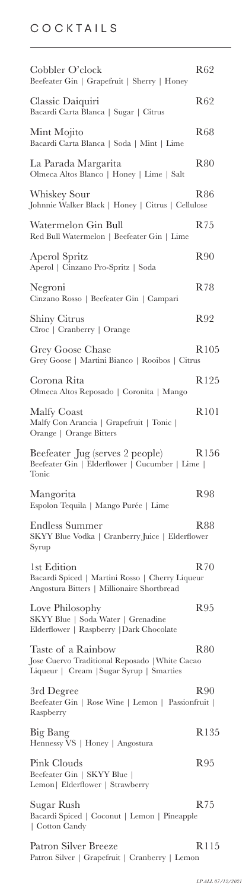## COCKTAILS

| Cobbler O'clock<br>Beefeater Gin   Grapefruit   Sherry   Honey                                                   | R62              |
|------------------------------------------------------------------------------------------------------------------|------------------|
| Classic Daiquiri<br>Bacardi Carta Blanca   Sugar   Citrus                                                        | R62              |
| Mint Mojito<br>Bacardi Carta Blanca   Soda   Mint   Lime                                                         | R68              |
| La Parada Margarita<br>Olmeca Altos Blanco   Honey   Lime   Salt                                                 | R80              |
| Whiskey Sour<br>Johnnie Walker Black   Honey   Citrus   Cellulose                                                | R86              |
| Watermelon Gin Bull<br>Red Bull Watermelon   Beefeater Gin   Lime                                                | R75              |
| Aperol Spritz<br>Aperol   Cinzano Pro-Spritz   Soda                                                              | R90              |
| Negroni<br>Cinzano Rosso   Beefeater Gin   Campari                                                               | R78              |
| <b>Shiny Citrus</b><br>Cîroc   Cranberry   Orange                                                                | R92              |
| Grey Goose Chase<br>Grey Goose   Martini Bianco   Rooibos   Citrus                                               | R <sub>105</sub> |
| Corona Rita<br>Olmeca Altos Reposado   Coronita   Mango                                                          | R <sub>125</sub> |
| Malfy Coast<br>Malfy Con Arancia   Grapefruit   Tonic  <br>Orange   Orange Bitters                               | R101             |
| Beefeater Jug (serves 2 people)<br>Beefeater Gin   Elderflower   Cucumber   Lime  <br>Tonic                      | R <sub>156</sub> |
| Mangorita<br>Espolon Tequila   Mango Purée   Lime                                                                | R98              |
| Endless Summer<br>SKYY Blue Vodka   Cranberry Juice   Elderflower<br>Syrup                                       | R88              |
| 1st Edition<br>Bacardi Spiced   Martini Rosso   Cherry Liqueur<br>Angostura Bitters   Millionaire Shortbread     | R70              |
| Love Philosophy<br>SKYY Blue   Soda Water   Grenadine<br>Elderflower   Raspberry   Dark Chocolate                | R95              |
| Taste of a Rainbow<br>Jose Cuervo Traditional Reposado   White Cacao<br>Liqueur   Cream   Sugar Syrup   Smarties | R80              |
| 3rd Degree<br>Beefeater Gin   Rose Wine   Lemon   Passionfruit  <br>Raspberry                                    | R90              |
| Big Bang<br>Hennessy VS   Honey   Angostura                                                                      | R <sub>135</sub> |
| Pink Clouds<br>Beefeater Gin   SKYY Blue  <br>Lemon   Elderflower   Strawberry                                   | R <sub>95</sub>  |
| Sugar Rush<br>Bacardi Spiced   Coconut   Lemon   Pineapple<br>  Cotton Candy                                     | R75              |
| Patron Silver Breeze<br>Patron Silver   Grapefruit   Cranberry   Lemon                                           | R115             |